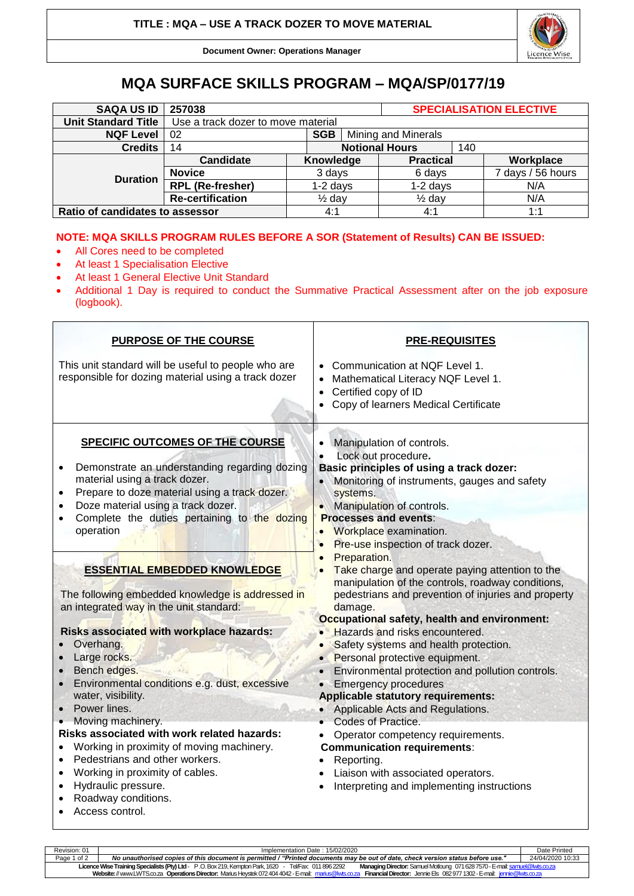

**Document Owner: Operations Manager**

## **MQA SURFACE SKILLS PROGRAM – MQA/SP/0177/19**

| <b>SAQA US ID</b>               | 257038                             |                       |  | <b>SPECIALISATION ELECTIVE</b> |     |                   |  |
|---------------------------------|------------------------------------|-----------------------|--|--------------------------------|-----|-------------------|--|
| <b>Unit Standard Title</b>      | Use a track dozer to move material |                       |  |                                |     |                   |  |
| <b>NQF Level</b>                | 02                                 | Mining and Minerals   |  |                                |     |                   |  |
| <b>Credits</b>                  | 14                                 | <b>Notional Hours</b> |  |                                | 140 |                   |  |
| <b>Duration</b>                 | Candidate                          | Knowledge             |  | <b>Practical</b>               |     | Workplace         |  |
|                                 | <b>Novice</b>                      | 3 days                |  | 6 days                         |     | 7 days / 56 hours |  |
|                                 | <b>RPL (Re-fresher)</b>            | $1-2$ days            |  | $1-2$ days                     |     | N/A               |  |
|                                 | <b>Re-certification</b>            | $\frac{1}{2}$ day     |  | $\frac{1}{2}$ day              |     | N/A               |  |
| Ratio of candidates to assessor |                                    | 4:1                   |  | 4:1                            |     | 1:1               |  |

## **NOTE: MQA SKILLS PROGRAM RULES BEFORE A SOR (Statement of Results) CAN BE ISSUED:**

- All Cores need to be completed
- At least 1 Specialisation Elective
- At least 1 General Elective Unit Standard
- Additional 1 Day is required to conduct the Summative Practical Assessment after on the job exposure (logbook).

| <b>PURPOSE OF THE COURSE</b>                                                                                                                                                                                                                                                                                                                                                                                                                                               | <b>PRE-REQUISITES</b>                                                                                                                                                                                                                                                                                                                                                                                                                                                                                                                |  |  |  |
|----------------------------------------------------------------------------------------------------------------------------------------------------------------------------------------------------------------------------------------------------------------------------------------------------------------------------------------------------------------------------------------------------------------------------------------------------------------------------|--------------------------------------------------------------------------------------------------------------------------------------------------------------------------------------------------------------------------------------------------------------------------------------------------------------------------------------------------------------------------------------------------------------------------------------------------------------------------------------------------------------------------------------|--|--|--|
| This unit standard will be useful to people who are<br>responsible for dozing material using a track dozer                                                                                                                                                                                                                                                                                                                                                                 | • Communication at NQF Level 1.<br>Mathematical Literacy NQF Level 1.<br>$\bullet$<br>Certified copy of ID<br>$\bullet$<br>Copy of learners Medical Certificate<br>$\bullet$                                                                                                                                                                                                                                                                                                                                                         |  |  |  |
| <b>SPECIFIC OUTCOMES OF THE COURSE</b><br>Demonstrate an understanding regarding dozing<br>٠<br>material using a track dozer.<br>Prepare to doze material using a track dozer.<br>Doze material using a track dozer.<br>Complete the duties pertaining to the dozing<br>$\bullet$<br>operation                                                                                                                                                                             | Manipulation of controls.<br>Lock out procedure.<br>Basic principles of using a track dozer:<br>Monitoring of instruments, gauges and safety<br>systems.<br>• Manipulation of controls.<br><b>Processes and events:</b><br>Workplace examination.<br>Pre-use inspection of track dozer.<br>Preparation.                                                                                                                                                                                                                              |  |  |  |
| <b>ESSENTIAL EMBEDDED KNOWLEDGE</b><br>The following embedded knowledge is addressed in<br>an integrated way in the unit standard:                                                                                                                                                                                                                                                                                                                                         | Take charge and operate paying attention to the<br>manipulation of the controls, roadway conditions,<br>pedestrians and prevention of injuries and property<br>damage.                                                                                                                                                                                                                                                                                                                                                               |  |  |  |
| Risks associated with workplace hazards:<br>Overhang.<br>Large rocks.<br>Bench edges.<br>Environmental conditions e.g. dust, excessive<br>water, visibility.<br>Power lines.<br>Moving machinery.<br>Risks associated with work related hazards:<br>Working in proximity of moving machinery.<br>$\bullet$<br>Pedestrians and other workers.<br>$\bullet$<br>Working in proximity of cables.<br>$\bullet$<br>Hydraulic pressure.<br>Roadway conditions.<br>Access control. | Occupational safety, health and environment:<br>• Hazards and risks encountered.<br>Safety systems and health protection.<br>Personal protective equipment.<br>Environmental protection and pollution controls.<br><b>Emergency procedures</b><br><b>Applicable statutory requirements:</b><br>Applicable Acts and Regulations.<br>• Codes of Practice.<br>Operator competency requirements.<br><b>Communication requirements:</b><br>Reporting.<br>Liaison with associated operators.<br>Interpreting and implementing instructions |  |  |  |

| Revision: 01                                                                                                                                                                                 | Implementation Date: 15/02/2020                                                                                                                                                       |                  |  |  |  |  |
|----------------------------------------------------------------------------------------------------------------------------------------------------------------------------------------------|---------------------------------------------------------------------------------------------------------------------------------------------------------------------------------------|------------------|--|--|--|--|
| Page 1 of 2                                                                                                                                                                                  | No unauthorised copies of this document is permitted / "Printed documents may be out of date, check version status before use."                                                       | 24/04/2020 10:33 |  |  |  |  |
|                                                                                                                                                                                              | Licence Wise Training Specialists (Pty) Ltd - P.O. Box 219, Kempton Park, 1620 - Tel/Fax: 011 896 2292<br>Managing Director: Samuel Motloung 071 628 7570 - E-mail: samuel@lwts.co.za |                  |  |  |  |  |
| <b>Financial Director:</b> Jennie Els 0829771302-E-mail: <i>jennie@lwts.co.za</i><br>Website: // www.LWTS.co.za Operations Director: Marius Heystek 072 404 4042 - E-mail: marius@lwts.co.za |                                                                                                                                                                                       |                  |  |  |  |  |
|                                                                                                                                                                                              |                                                                                                                                                                                       |                  |  |  |  |  |